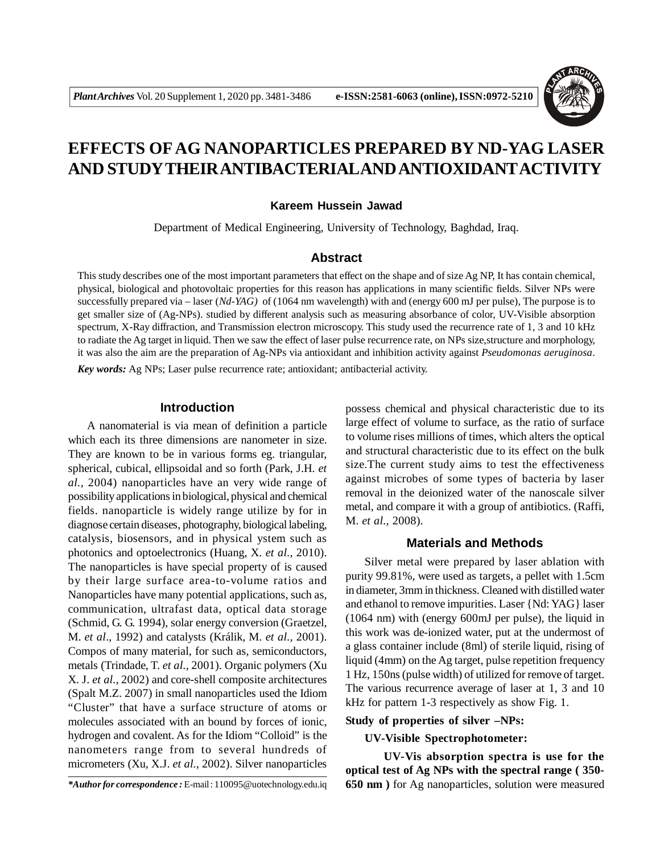

# **EFFECTS OFAG NANOPARTICLES PREPARED BY ND-YAG LASER AND STUDYTHEIR ANTIBACTERIALAND ANTIOXIDANTACTIVITY**

#### **Kareem Hussein Jawad**

Department of Medical Engineering, University of Technology, Baghdad, Iraq.

### **Abstract**

This study describes one of the most important parameters that effect on the shape and of size Ag NP, It has contain chemical, physical, biological and photovoltaic properties for this reason has applications in many scientific fields. Silver NPs were successfully prepared via – laser (*Nd-YAG)* of (1064 nm wavelength) with and (energy 600 mJ per pulse), The purpose is to get smaller size of (Ag-NPs). studied by different analysis such as measuring absorbance of color, UV-Visible absorption spectrum, X-Ray diffraction, and Transmission electron microscopy. This study used the recurrence rate of 1, 3 and 10 kHz to radiate the Ag target in liquid. Then we saw the effect of laser pulse recurrence rate, on NPs size,structure and morphology, it was also the aim are the preparation of Ag-NPs via antioxidant and inhibition activity against *Pseudomonas aeruginosa*.

*Key words:* Ag NPs; Laser pulse recurrence rate; antioxidant; antibacterial activity.

### **Introduction**

A nanomaterial is via mean of definition a particle which each its three dimensions are nanometer in size. They are known to be in various forms eg. triangular, spherical, cubical, ellipsoidal and so forth (Park, J.H. *et al.,* 2004) nanoparticles have an very wide range of possibility applications in biological, physical and chemical fields. nanoparticle is widely range utilize by for in diagnose certain diseases, photography, biological labeling, catalysis, biosensors, and in physical ystem such as photonics and optoelectronics (Huang, X. *et al.,* 2010). The nanoparticles is have special property of is caused by their large surface area-to-volume ratios and Nanoparticles have many potential applications, such as, communication, ultrafast data, optical data storage (Schmid, G. G. 1994), solar energy conversion (Graetzel, M. *et al*., 1992) and catalysts (Králik, M. *et al.,* 2001). Compos of many material, for such as, semiconductors, metals (Trindade, T. *et al.,* 2001). Organic polymers (Xu X. J. *et al.,* 2002) and core-shell composite architectures (Spalt M.Z. 2007) in small nanoparticles used the Idiom "Cluster" that have a surface structure of atoms or molecules associated with an bound by forces of ionic, hydrogen and covalent. As for the Idiom "Colloid" is the nanometers range from to several hundreds of micrometers (Xu, X.J. *et al.,* 2002). Silver nanoparticles

against microbes of some types of bacteria by laser removal in the deionized water of the nanoscale silver metal, and compare it with a group of antibiotics. (Raffi, M. *et al.,* 2008). **Materials and Methods** Silver metal were prepared by laser ablation with

purity 99.81%, were used as targets, a pellet with 1.5cm in diameter, 3mm in thickness. Cleaned with distilled water and ethanol to remove impurities. Laser {Nd: YAG} laser (1064 nm) with (energy 600mJ per pulse), the liquid in this work was de-ionized water, put at the undermost of a glass container include (8ml) of sterile liquid, rising of liquid (4mm) on the Ag target, pulse repetition frequency 1 Hz, 150ns (pulse width) of utilized for remove of target. The various recurrence average of laser at 1, 3 and 10 kHz for pattern 1-3 respectively as show Fig. 1.

possess chemical and physical characteristic due to its large effect of volume to surface, as the ratio of surface to volume rises millions of times, which alters the optical and structural characteristic due to its effect on the bulk size.The current study aims to test the effectiveness

# **Study of properties of silver –NPs:**

**UV-Visible Spectrophotometer:**

**UV-Vis absorption spectra is use for the optical test of Ag NPs with the spectral range ( 350- 650 nm )** for Ag nanoparticles, solution were measured

*<sup>\*</sup>Author for correspondence :* E-mail : 110095@uotechnology.edu.iq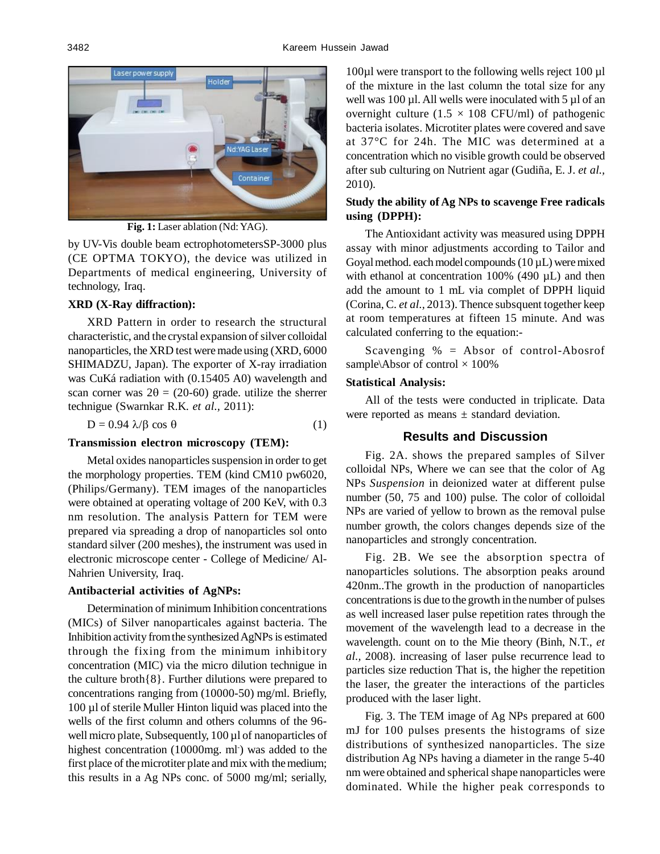Laser power supply Holde Nd:YAG Laser Container

**Fig. 1:** Laser ablation (Nd: YAG).

by UV-Vis double beam ectrophotometersSP-3000 plus (CE OPTMA TOKYO), the device was utilized in Departments of medical engineering, University of technology, Iraq.

#### **XRD (X-Ray diffraction):**

XRD Pattern in order to research the structural characteristic, and the crystal expansion of silver colloidal nanoparticles, the XRD test were made using (XRD, 6000 SHIMADZU, Japan). The exporter of X-ray irradiation was CuKá radiation with (0.15405 A0) wavelength and scan corner was  $2\theta = (20{\text -}60)$  grade. utilize the sherrer technigue (Swarnkar R.K. *et al.,* 2011):

$$
D = 0.94 \lambda/\beta \cos \theta \tag{1}
$$

### **Transmission electron microscopy (TEM):**

Metal oxides nanoparticles suspension in order to get the morphology properties. TEM (kind CM10 pw6020, (Philips/Germany). TEM images of the nanoparticles were obtained at operating voltage of 200 KeV, with 0.3 nm resolution. The analysis Pattern for TEM were prepared via spreading a drop of nanoparticles sol onto standard silver (200 meshes), the instrument was used in electronic microscope center - College of Medicine/ Al-Nahrien University, Iraq.

### **Antibacterial activities of AgNPs:**

Determination of minimum Inhibition concentrations (MICs) of Silver nanoparticales against bacteria. The Inhibition activity from the synthesized AgNPs is estimated through the fixing from the minimum inhibitory concentration (MIC) via the micro dilution technigue in the culture broth{8}. Further dilutions were prepared to concentrations ranging from (10000-50) mg/ml. Briefly, 100 µl of sterile Muller Hinton liquid was placed into the wells of the first column and others columns of the 96 well micro plate, Subsequently, 100 µl of nanoparticles of highest concentration (10000mg. ml<sup>-</sup>) was added to the first place of the microtiter plate and mix with the medium; this results in a Ag NPs conc. of 5000 mg/ml; serially,

100µl were transport to the following wells reject 100 µl of the mixture in the last column the total size for any well was 100  $\mu$ l. All wells were inoculated with 5  $\mu$ l of an overnight culture (1.5  $\times$  108 CFU/ml) of pathogenic bacteria isolates. Microtiter plates were covered and save at 37°C for 24h. The MIC was determined at a concentration which no visible growth could be observed after sub culturing on Nutrient agar (Gudiña, E. J. *et al.,* 2010).

# **Study the ability of Ag NPs to scavenge Free radicals using (DPPH):**

The Antioxidant activity was measured using DPPH assay with minor adjustments according to Tailor and Goyal method. each model compounds  $(10 \mu L)$  were mixed with ethanol at concentration 100% (490 µL) and then add the amount to 1 mL via complet of DPPH liquid (Corina, C. *et al.,* 2013). Thence subsquent together keep at room temperatures at fifteen 15 minute. And was calculated conferring to the equation:-

Scavenging % = Absor of control-Abosrof sample\Absor of control  $\times$  100%

#### **Statistical Analysis:**

All of the tests were conducted in triplicate. Data were reported as means ± standard deviation.

### **Results and Discussion**

Fig. 2A. shows the prepared samples of Silver colloidal NPs, Where we can see that the color of Ag NPs *Suspension* in deionized water at different pulse number (50, 75 and 100) pulse. The color of colloidal NPs are varied of yellow to brown as the removal pulse number growth, the colors changes depends size of the nanoparticles and strongly concentration.

Fig. 2B. We see the absorption spectra of nanoparticles solutions. The absorption peaks around 420nm..The growth in the production of nanoparticles concentrations is due to the growth in the number of pulses as well increased laser pulse repetition rates through the movement of the wavelength lead to a decrease in the wavelength. count on to the Mie theory (Binh, N.T., *et al.,* 2008). increasing of laser pulse recurrence lead to particles size reduction That is, the higher the repetition the laser, the greater the interactions of the particles produced with the laser light.

Fig. 3. The TEM image of Ag NPs prepared at 600 mJ for 100 pulses presents the histograms of size distributions of synthesized nanoparticles. The size distribution Ag NPs having a diameter in the range 5-40 nm were obtained and spherical shape nanoparticles were dominated. While the higher peak corresponds to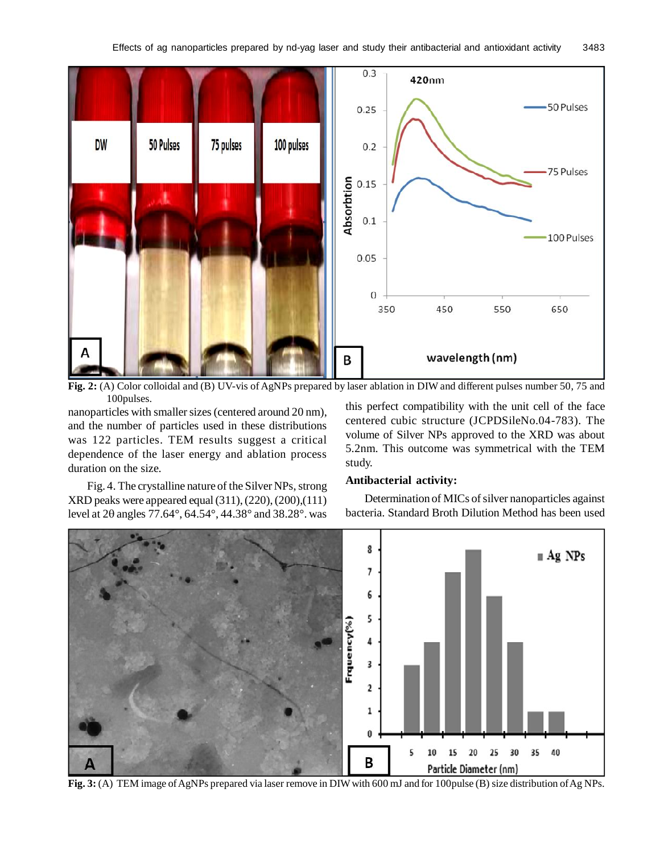

**Fig. 2:** (A) Color colloidal and (B) UV-vis of AgNPs prepared by laser ablation in DIW and different pulses number 50, 75 and 100pulses.

nanoparticles with smaller sizes (centered around 20 nm), and the number of particles used in these distributions was 122 particles. TEM results suggest a critical dependence of the laser energy and ablation process duration on the size.

Fig. 4. The crystalline nature of the Silver NPs, strong XRD peaks were appeared equal (311), (220), (200),(111) level at 20 angles 77.64 $\degree$ , 64.54 $\degree$ , 44.38 $\degree$  and 38.28 $\degree$ . was this perfect compatibility with the unit cell of the face centered cubic structure (JCPDSileNo.04-783). The volume of Silver NPs approved to the XRD was about 5.2nm. This outcome was symmetrical with the TEM study.

### **Antibacterial activity:**

Determination of MICs of silver nanoparticles against bacteria. Standard Broth Dilution Method has been used



**Fig. 3:** (A) TEM image of AgNPs prepared via laser remove in DIW with 600 mJ and for 100pulse (B) size distribution of Ag NPs.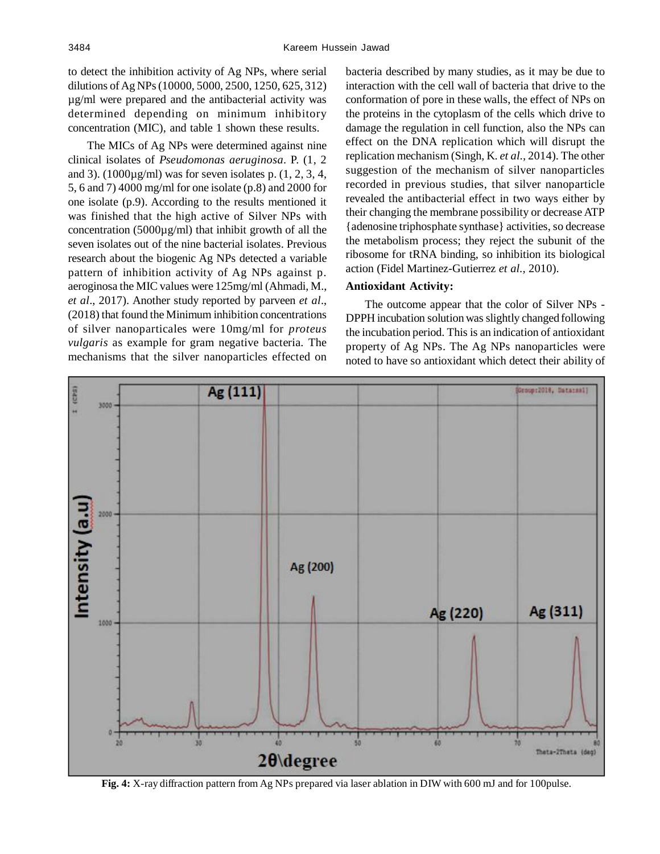to detect the inhibition activity of Ag NPs, where serial dilutions of Ag NPs (10000, 5000, 2500, 1250, 625, 312) µg/ml were prepared and the antibacterial activity was determined depending on minimum inhibitory concentration (MIC), and table 1 shown these results.

The MICs of Ag NPs were determined against nine clinical isolates of *Pseudomonas aeruginosa*. P. (1, 2 and 3). (1000 $\mu$ g/ml) was for seven isolates p. (1, 2, 3, 4, 5, 6 and 7) 4000 mg/ml for one isolate (p.8) and 2000 for one isolate (p.9). According to the results mentioned it was finished that the high active of Silver NPs with concentration (5000 $\mu$ g/ml) that inhibit growth of all the seven isolates out of the nine bacterial isolates. Previous research about the biogenic Ag NPs detected a variable pattern of inhibition activity of Ag NPs against p. aeroginosa the MIC values were 125mg/ml (Ahmadi, M., *et al*., 2017). Another study reported by parveen *et al*., (2018) that found the Minimum inhibition concentrations of silver nanoparticales were 10mg/ml for *proteus vulgaris* as example for gram negative bacteria. The mechanisms that the silver nanoparticles effected on bacteria described by many studies, as it may be due to interaction with the cell wall of bacteria that drive to the conformation of pore in these walls, the effect of NPs on the proteins in the cytoplasm of the cells which drive to damage the regulation in cell function, also the NPs can effect on the DNA replication which will disrupt the replication mechanism (Singh, K. *et al.,* 2014). The other suggestion of the mechanism of silver nanoparticles recorded in previous studies, that silver nanoparticle revealed the antibacterial effect in two ways either by their changing the membrane possibility or decrease ATP {adenosine triphosphate synthase} activities, so decrease the metabolism process; they reject the subunit of the ribosome for tRNA binding, so inhibition its biological action (Fidel Martinez-Gutierrez *et al.,* 2010).

## **Antioxidant Activity:**

The outcome appear that the color of Silver NPs - DPPH incubation solution was slightly changed following the incubation period. This is an indication of antioxidant property of Ag NPs. The Ag NPs nanoparticles were noted to have so antioxidant which detect their ability of



**Fig. 4:** X-ray diffraction pattern from Ag NPs prepared via laser ablation in DIW with 600 mJ and for 100pulse.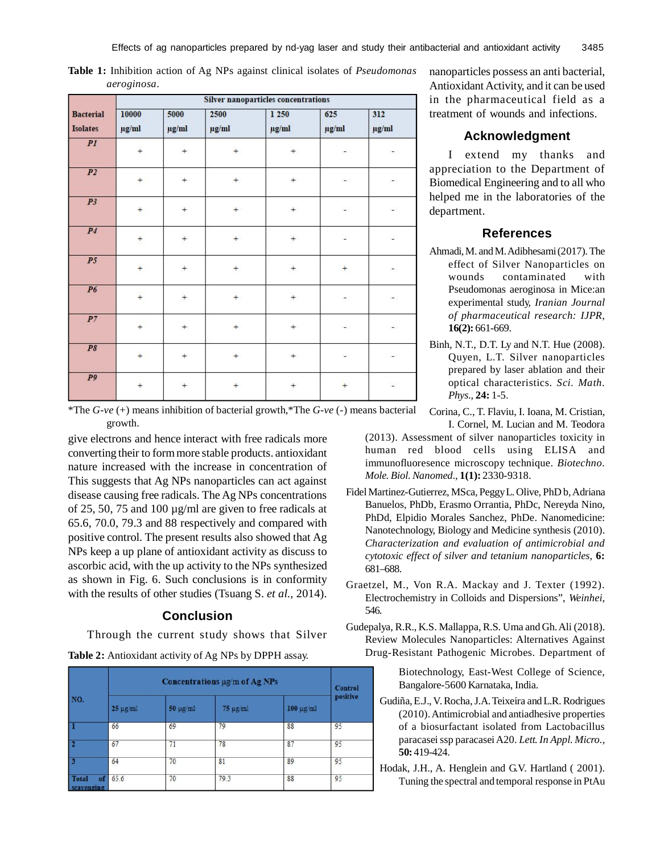|  | <b>Table 1:</b> Inhibition action of Ag NPs against clinical isolates of <i>Pseudomonas</i> |  |  |  |  |
|--|---------------------------------------------------------------------------------------------|--|--|--|--|
|  | <i>aeroginosa.</i>                                                                          |  |  |  |  |

|                                     | Silver nanoparticles concentrations |                                  |                    |                                  |                   |                   |  |  |  |
|-------------------------------------|-------------------------------------|----------------------------------|--------------------|----------------------------------|-------------------|-------------------|--|--|--|
| <b>Bacterial</b><br><b>Isolates</b> | 10000<br>$\mu g / \text{ml}$        | 5000<br>$\mu$ g/ml               | 2500<br>$\mu$ g/ml | 1 250<br>$\mu$ g/ml              | 625<br>$\mu$ g/ml | 312<br>$\mu g/ml$ |  |  |  |
| PI                                  | $^{+}$                              | $+$                              | $+$                | $+$                              |                   |                   |  |  |  |
| P <sub>2</sub>                      | $+$                                 | $\pm$                            | $+$                | $+$                              |                   |                   |  |  |  |
| P <sub>3</sub>                      | $\ddot{\phantom{1}}$                | $^{+}$                           | $+$                | $\begin{array}{c} + \end{array}$ |                   |                   |  |  |  |
| P <sub>4</sub>                      | $\pm$                               | $+$                              | $+$                | $\, +$                           |                   |                   |  |  |  |
| $\overline{P5}$                     | $\ddot{}$                           | $\begin{array}{c} + \end{array}$ | $+$                | $^{+}$                           | $+$               | ۰,                |  |  |  |
| P6                                  | $\ddot{}$                           | $\,$ + $\,$                      | $+$                | $\ddot{}$                        | Ξ                 | -                 |  |  |  |
| $\overline{P7}$                     | $\pm$                               | $+$                              | $+$                | $+$                              |                   |                   |  |  |  |
| $\overline{P8}$                     | $+$                                 | $+$                              | $+$                | $^{+}$                           | ٠                 |                   |  |  |  |
| P9                                  | $^{+}$                              | $+$                              | $+$                | $\qquad \qquad +$                | $+$               |                   |  |  |  |

\*The *G-ve* (+) means inhibition of bacterial growth,\*The *G-ve* (-) means bacterial growth.

give electrons and hence interact with free radicals more converting their to form more stable products. antioxidant nature increased with the increase in concentration of This suggests that Ag NPs nanoparticles can act against disease causing free radicals. The Ag NPs concentrations of 25, 50, 75 and 100 µg/ml are given to free radicals at 65.6, 70.0, 79.3 and 88 respectively and compared with positive control. The present results also showed that Ag NPs keep a up plane of antioxidant activity as discuss to ascorbic acid, with the up activity to the NPs synthesized as shown in Fig. 6. Such conclusions is in conformity with the results of other studies (Tsuang S. *et al.,* 2014).

# **Conclusion**

Through the current study shows that Silver

**Table 2:** Antioxidant activity of Ag NPs by DPPH assay.

|                                  |               | <b>Control</b> |               |                |          |
|----------------------------------|---------------|----------------|---------------|----------------|----------|
| NO.                              | $25 \mu g$ ml | $50 \mu g/ml$  | $75 \mu g$ ml | $100 \mu g$ ml | positive |
| П                                | 66            | 69             | 79            | 88             | 95       |
| $\overline{2}$                   | 67            | 71             | 78            | 87             | 95       |
| $\overline{\mathbf{3}}$          | 64            | 70             | 81            | 89             | 95       |
| <b>Total</b><br>of<br>scavenging | 65.6          | 70             | 79.3          | 88             | 95       |

nanoparticles possess an anti bacterial, Antioxidant Activity, and it can be used in the pharmaceutical field as a treatment of wounds and infections.

### **Acknowledgment**

I extend my thanks and appreciation to the Department of Biomedical Engineering and to all who helped me in the laboratories of the department.

### **References**

- Ahmadi, M. and M. Adibhesami (2017). The effect of Silver Nanoparticles on wounds contaminated with Pseudomonas aeroginosa in Mice:an experimental study, *Iranian Journal of pharmaceutical research: IJPR,* **16(2):** 661-669.
- Binh, N.T., D.T. Ly and N.T. Hue (2008). Quyen, L.T. Silver nanoparticles prepared by laser ablation and their optical characteristics. *Sci. Math. Phys.,* **24:** 1-5.
- Corina, C., T. Flaviu, I. Ioana, M. Cristian, I. Cornel, M. Lucian and M. Teodora

(2013). Assessment of silver nanoparticles toxicity in human red blood cells using ELISA and immunofluoresence microscopy technique. *Biotechno. Mole. Biol. Nanomed.,* **1(1):** 2330-9318.

- Fidel Martinez-Gutierrez, MSca, Peggy L. Olive, PhD b, Adriana Banuelos, PhDb, Erasmo Orrantia, PhDc, Nereyda Nino, PhDd, Elpidio Morales Sanchez, PhDe. Nanomedicine: Nanotechnology, Biology and Medicine synthesis (2010). *Characterization and evaluation of antimicrobial and cytotoxic effect of silver and tetanium nanoparticles,* **6:** 681–688.
- Graetzel, M., Von R.A. Mackay and J. Texter (1992). Electrochemistry in Colloids and Dispersions", *Weinhei,* 546.
- Gudepalya, R.R., K.S. Mallappa, R.S. Uma and Gh. Ali (2018). Review Molecules Nanoparticles: Alternatives Against Drug-Resistant Pathogenic Microbes. Department of

Biotechnology, East-West College of Science, Bangalore-5600 Karnataka, India.

- Gudiña, E.J., V. Rocha, J.A. Teixeira and L.R. Rodrigues (2010). Antimicrobial and antiadhesive properties of a biosurfactant isolated from Lactobacillus paracasei ssp paracasei A20. *Lett. In Appl. Micro.,* **50:** 419-424.
- Hodak, J.H., A. Henglein and G.V. Hartland ( 2001). Tuning the spectral and temporal response in PtAu